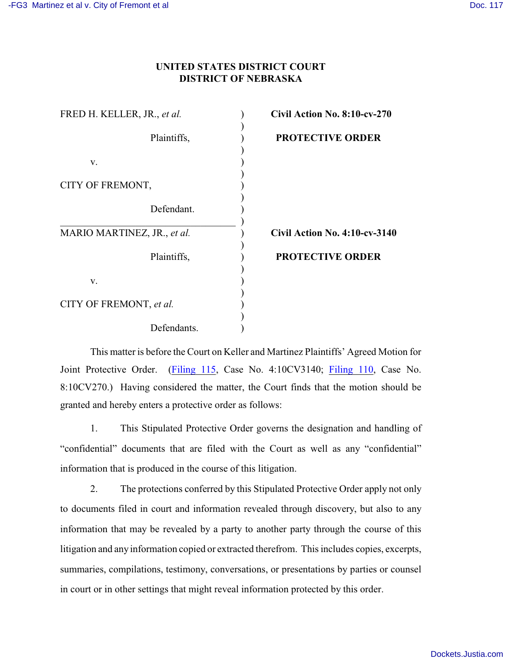## **UNITED STATES DISTRICT COURT DISTRICT OF NEBRASKA**

| FRED H. KELLER, JR., et al. | Civ |
|-----------------------------|-----|
|                             |     |
| Plaintiffs,                 | PF  |
|                             |     |
| V.                          |     |
|                             |     |
| CITY OF FREMONT,            |     |
|                             |     |
| Defendant.                  |     |
|                             |     |
| MARIO MARTINEZ, JR., et al. | Civ |
|                             |     |
| Plaintiffs,                 | PF  |
|                             |     |
| V.                          |     |
|                             |     |
| CITY OF FREMONT, et al.     |     |
|                             |     |
| Defendants.                 |     |

FRED H. KELLER, JR., *et al.* ) **Civil Action No. 8:10-cv-270 ROTECTIVE ORDER** 

MARIO MARTINEZ, JR., *et al.* ) **Civil Action No. 4:10-cv-3140**

## **ROTECTIVE ORDER**

This matter is before the Court on Keller and Martinez Plaintiffs' Agreed Motion for Joint Protective Order. [\(Filing 115](https://ecf.ned.uscourts.gov/doc1/11312374795), Case No. 4:10CV3140; [Filing 110](https://ecf.ned.uscourts.gov/doc1/11312374795), Case No. 8:10CV270.) Having considered the matter, the Court finds that the motion should be granted and hereby enters a protective order as follows:

1. This Stipulated Protective Order governs the designation and handling of "confidential" documents that are filed with the Court as well as any "confidential" information that is produced in the course of this litigation.

2. The protections conferred by this Stipulated Protective Order apply not only to documents filed in court and information revealed through discovery, but also to any information that may be revealed by a party to another party through the course of this litigation and any information copied or extracted therefrom. This includes copies, excerpts, summaries, compilations, testimony, conversations, or presentations by parties or counsel in court or in other settings that might reveal information protected by this order.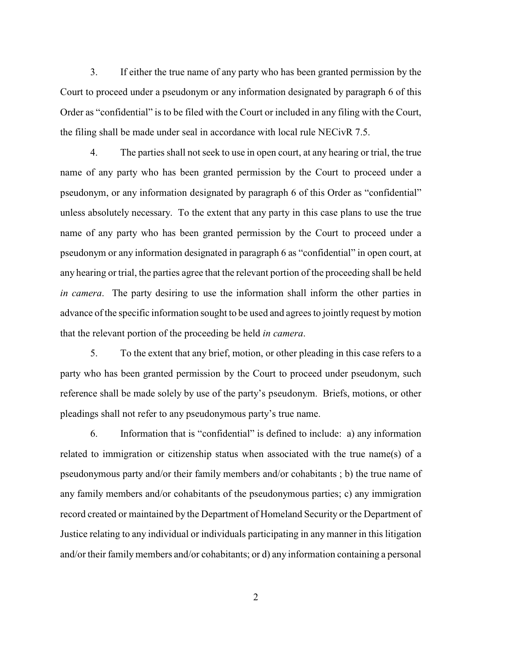3. If either the true name of any party who has been granted permission by the Court to proceed under a pseudonym or any information designated by paragraph 6 of this Order as "confidential" is to be filed with the Court or included in any filing with the Court, the filing shall be made under seal in accordance with local rule NECivR 7.5.

4. The parties shall not seek to use in open court, at any hearing or trial, the true name of any party who has been granted permission by the Court to proceed under a pseudonym, or any information designated by paragraph 6 of this Order as "confidential" unless absolutely necessary. To the extent that any party in this case plans to use the true name of any party who has been granted permission by the Court to proceed under a pseudonym or any information designated in paragraph 6 as "confidential" in open court, at any hearing or trial, the parties agree that the relevant portion of the proceeding shall be held *in camera*. The party desiring to use the information shall inform the other parties in advance of the specific information sought to be used and agrees to jointly request by motion that the relevant portion of the proceeding be held *in camera*.

5. To the extent that any brief, motion, or other pleading in this case refers to a party who has been granted permission by the Court to proceed under pseudonym, such reference shall be made solely by use of the party's pseudonym. Briefs, motions, or other pleadings shall not refer to any pseudonymous party's true name.

6. Information that is "confidential" is defined to include: a) any information related to immigration or citizenship status when associated with the true name(s) of a pseudonymous party and/or their family members and/or cohabitants ; b) the true name of any family members and/or cohabitants of the pseudonymous parties; c) any immigration record created or maintained by the Department of Homeland Security or the Department of Justice relating to any individual or individuals participating in any manner in this litigation and/or their family members and/or cohabitants; or d) any information containing a personal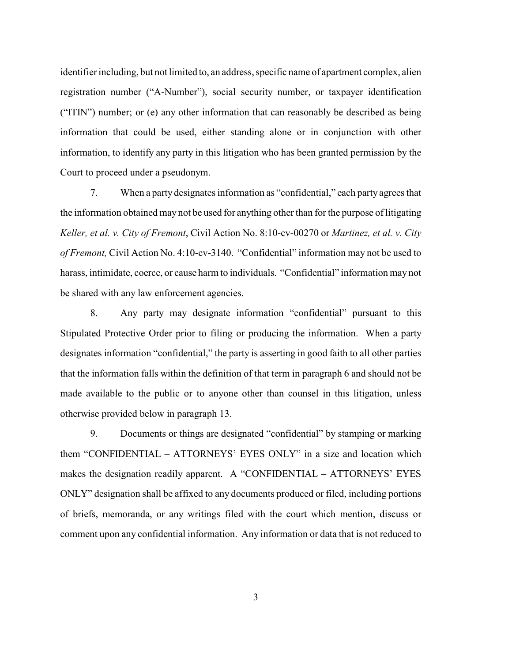identifier including, but not limited to, an address, specific name of apartment complex, alien registration number ("A-Number"), social security number, or taxpayer identification ("ITIN") number; or (e) any other information that can reasonably be described as being information that could be used, either standing alone or in conjunction with other information, to identify any party in this litigation who has been granted permission by the Court to proceed under a pseudonym.

7. When a party designates information as "confidential," each party agrees that the information obtained may not be used for anything other than for the purpose of litigating *Keller, et al. v. City of Fremont*, Civil Action No. 8:10-cv-00270 or *Martinez, et al. v. City of Fremont,* Civil Action No. 4:10-cv-3140. "Confidential" information may not be used to harass, intimidate, coerce, or cause harm to individuals. "Confidential" information may not be shared with any law enforcement agencies.

8. Any party may designate information "confidential" pursuant to this Stipulated Protective Order prior to filing or producing the information. When a party designates information "confidential," the party is asserting in good faith to all other parties that the information falls within the definition of that term in paragraph 6 and should not be made available to the public or to anyone other than counsel in this litigation, unless otherwise provided below in paragraph 13.

9. Documents or things are designated "confidential" by stamping or marking them "CONFIDENTIAL – ATTORNEYS' EYES ONLY" in a size and location which makes the designation readily apparent. A "CONFIDENTIAL – ATTORNEYS' EYES ONLY" designation shall be affixed to any documents produced or filed, including portions of briefs, memoranda, or any writings filed with the court which mention, discuss or comment upon any confidential information. Any information or data that is not reduced to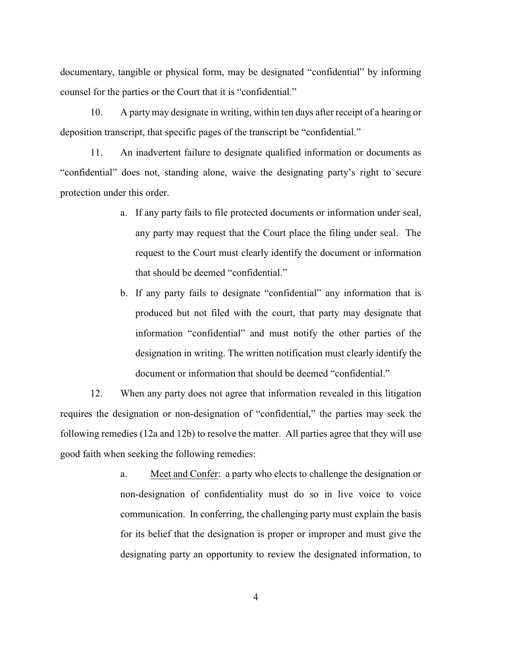documentary, tangible or physical form, may be designated "confidential" by informing counsel for the parties or the Court that it is "confidential."

10. A party may designate in writing, within ten days after receipt of a hearing or deposition transcript, that specific pages of the transcript be "confidential."

11. An inadvertent failure to designate qualified information or documents as "confidential" does not, standing alone, waive the designating party's right to secure protection under this order.

- a. If any party fails to file protected documents or information under seal, any party may request that the Court place the filing under seal. The request to the Court must clearly identify the document or information that should be deemed "confidential."
- b. If any party fails to designate "confidential" any information that is produced but not filed with the court, that party may designate that information "confidential" and must notify the other parties of the designation in writing. The written notification must clearly identify the document or information that should be deemed "confidential."

12. When any party does not agree that information revealed in this litigation requires the designation or non-designation of "confidential," the parties may seek the following remedies (12a and 12b) to resolve the matter. All parties agree that they will use good faith when seeking the following remedies:

> a. Meet and Confer: a party who elects to challenge the designation or non-designation of confidentiality must do so in live voice to voice communication. In conferring, the challenging party must explain the basis for its belief that the designation is proper or improper and must give the designating party an opportunity to review the designated information, to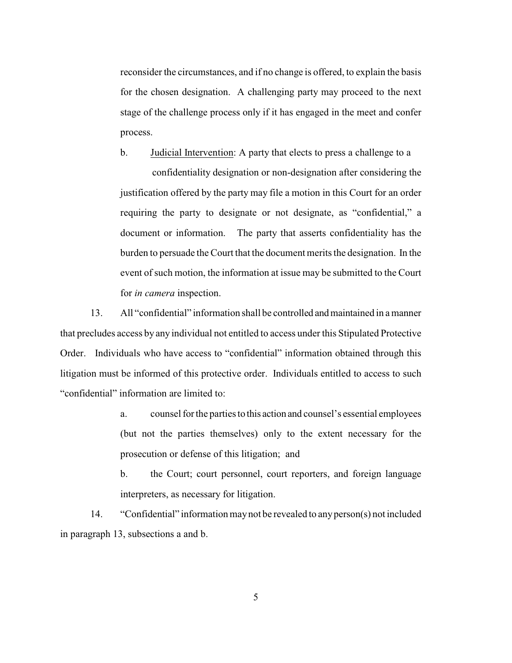reconsider the circumstances, and if no change is offered, to explain the basis for the chosen designation. A challenging party may proceed to the next stage of the challenge process only if it has engaged in the meet and confer process.

b. Judicial Intervention: A party that elects to press a challenge to a

 confidentiality designation or non-designation after considering the justification offered by the party may file a motion in this Court for an order requiring the party to designate or not designate, as "confidential," a document or information. The party that asserts confidentiality has the burden to persuade the Court that the document merits the designation. In the event of such motion, the information at issue may be submitted to the Court for *in camera* inspection.

13. All "confidential" information shall be controlled and maintained in a manner that precludes access by any individual not entitled to access under this Stipulated Protective Order. Individuals who have access to "confidential" information obtained through this litigation must be informed of this protective order. Individuals entitled to access to such "confidential" information are limited to:

> a. counsel for the parties to this action and counsel's essential employees (but not the parties themselves) only to the extent necessary for the prosecution or defense of this litigation; and

> b. the Court; court personnel, court reporters, and foreign language interpreters, as necessary for litigation.

14. "Confidential" information may not be revealed to any person(s) not included in paragraph 13, subsections a and b.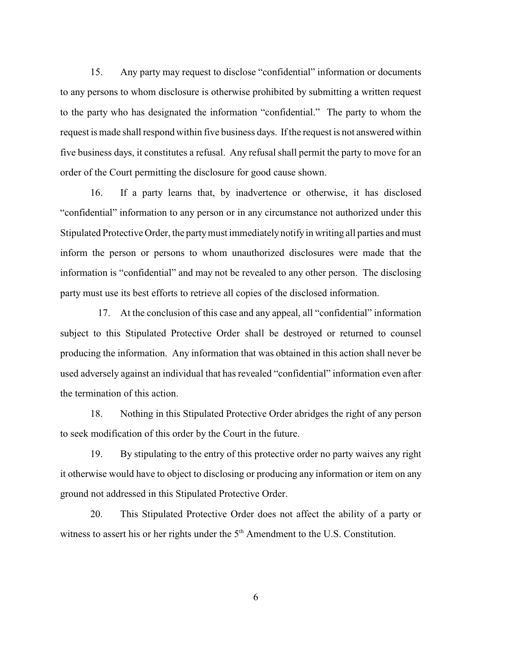15. Any party may request to disclose "confidential" information or documents to any persons to whom disclosure is otherwise prohibited by submitting a written request to the party who has designated the information "confidential." The party to whom the request is made shall respond within five business days. If the request is not answered within five business days, it constitutes a refusal. Any refusal shall permit the party to move for an order of the Court permitting the disclosure for good cause shown.

16. If a party learns that, by inadvertence or otherwise, it has disclosed "confidential" information to any person or in any circumstance not authorized under this Stipulated Protective Order, the party must immediately notify in writing all parties and must inform the person or persons to whom unauthorized disclosures were made that the information is "confidential" and may not be revealed to any other person. The disclosing party must use its best efforts to retrieve all copies of the disclosed information.

17. At the conclusion of this case and any appeal, all "confidential" information subject to this Stipulated Protective Order shall be destroyed or returned to counsel producing the information. Any information that was obtained in this action shall never be used adversely against an individual that has revealed "confidential" information even after the termination of this action.

18. Nothing in this Stipulated Protective Order abridges the right of any person to seek modification of this order by the Court in the future.

19. By stipulating to the entry of this protective order no party waives any right it otherwise would have to object to disclosing or producing any information or item on any ground not addressed in this Stipulated Protective Order.

20. This Stipulated Protective Order does not affect the ability of a party or witness to assert his or her rights under the  $5<sup>th</sup>$  Amendment to the U.S. Constitution.